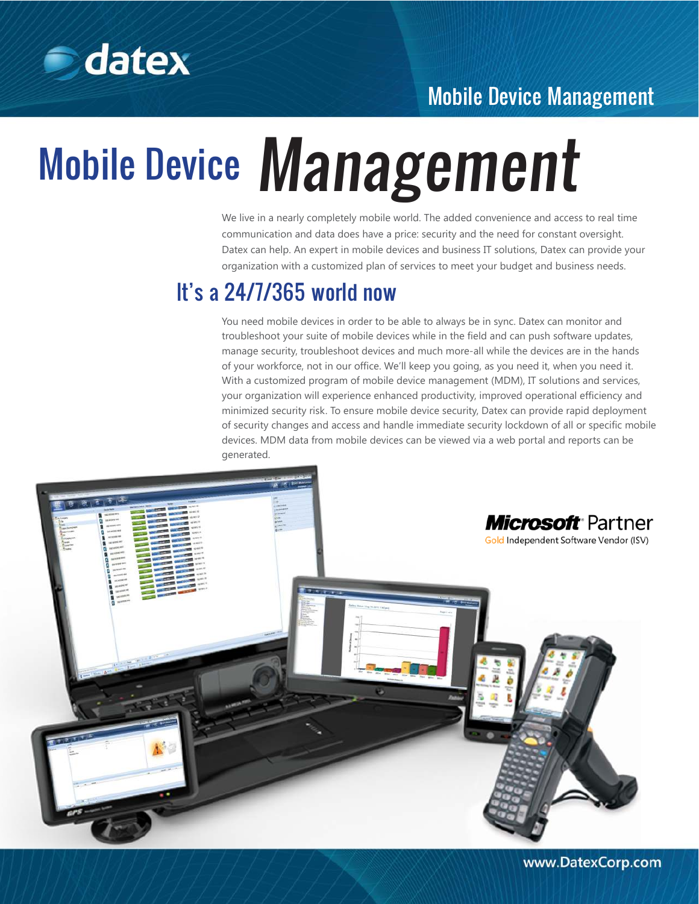

### Mobile Device Management

# Mobile Device Management

We live in a nearly completely mobile world. The added convenience and access to real time communication and data does have a price: security and the need for constant oversight. Datex can help. An expert in mobile devices and business IT solutions, Datex can provide your organization with a customized plan of services to meet your budget and business needs.

## It's a 24/7/365 world now

You need mobile devices in order to be able to always be in sync. Datex can monitor and troubleshoot your suite of mobile devices while in the field and can push software updates, manage security, troubleshoot devices and much more-all while the devices are in the hands of your workforce, not in our office. We'll keep you going, as you need it, when you need it. With a customized program of mobile device management (MDM), IT solutions and services, your organization will experience enhanced productivity, improved operational efficiency and minimized security risk. To ensure mobile device security, Datex can provide rapid deployment of security changes and access and handle immediate security lockdown of all or specific mobile devices. MDM data from mobile devices can be viewed via a web portal and reports can be generated.